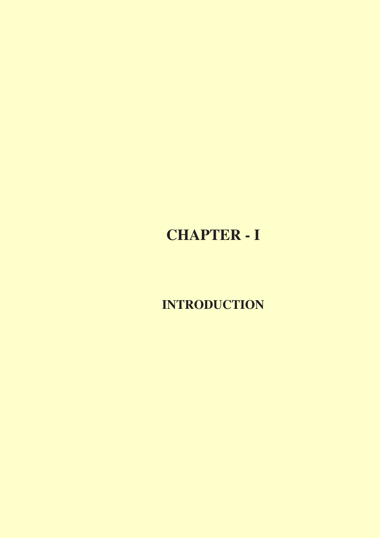# **CHAPTER - I**

**INTRODUCTION**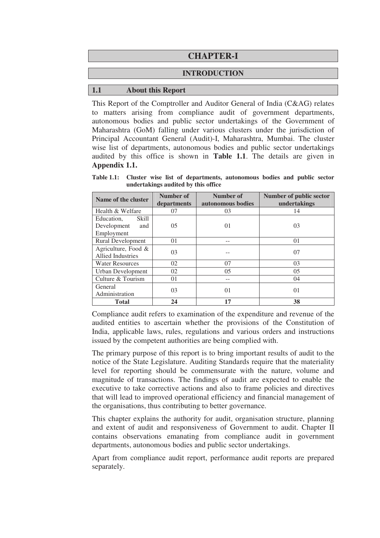## **CHAPTER-I**

#### **INTRODUCTION**

#### **1.1 About this Report**

This Report of the Comptroller and Auditor General of India (C&AG) relates to matters arising from compliance audit of government departments, autonomous bodies and public sector undertakings of the Government of Maharashtra (GoM) falling under various clusters under the jurisdiction of Principal Accountant General (Audit)-I, Maharashtra, Mumbai. The cluster wise list of departments, autonomous bodies and public sector undertakings audited by this office is shown in **Table 1.1**. The details are given in **Appendix 1.1.** 

**Table 1.1: Cluster wise list of departments, autonomous bodies and public sector undertakings audited by this office** 

| Name of the cluster                                     | Number of<br>departments | Number of<br>autonomous bodies | Number of public sector<br>undertakings |  |
|---------------------------------------------------------|--------------------------|--------------------------------|-----------------------------------------|--|
| Health & Welfare                                        | 07                       | 03                             | 14                                      |  |
| Education,<br>Skill<br>Development<br>and<br>Employment | 05                       | 01                             | 03                                      |  |
| <b>Rural Development</b>                                | 01                       |                                | 01                                      |  |
| Agriculture, Food $\&$<br><b>Allied Industries</b>      | 03                       |                                | 07                                      |  |
| <b>Water Resources</b>                                  | 02                       | 07                             | 03                                      |  |
| <b>Urban Development</b>                                | 02                       | 0 <sub>5</sub>                 | 0 <sub>5</sub>                          |  |
| Culture & Tourism                                       | 01                       |                                | 04                                      |  |
| General<br>Administration                               | 03                       | 01                             | 01                                      |  |
| <b>Total</b>                                            | 24                       | 17                             | 38                                      |  |

Compliance audit refers to examination of the expenditure and revenue of the audited entities to ascertain whether the provisions of the Constitution of India, applicable laws, rules, regulations and various orders and instructions issued by the competent authorities are being complied with.

The primary purpose of this report is to bring important results of audit to the notice of the State Legislature. Auditing Standards require that the materiality level for reporting should be commensurate with the nature, volume and magnitude of transactions. The findings of audit are expected to enable the executive to take corrective actions and also to frame policies and directives that will lead to improved operational efficiency and financial management of the organisations, thus contributing to better governance.

This chapter explains the authority for audit, organisation structure, planning and extent of audit and responsiveness of Government to audit. Chapter II contains observations emanating from compliance audit in government departments, autonomous bodies and public sector undertakings.

Apart from compliance audit report, performance audit reports are prepared separately.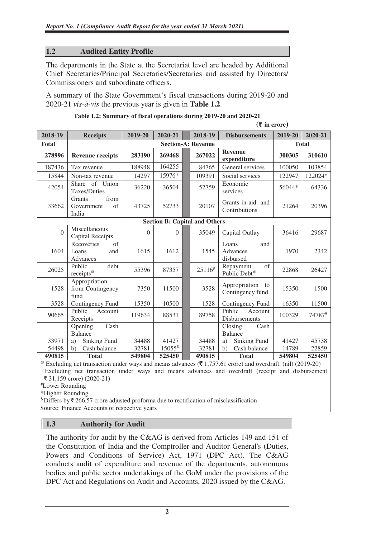## **1.2 Audited Entity Profile**

The departments in the State at the Secretariat level are headed by Additional Chief Secretaries/Principal Secretaries/Secretaries and assisted by Directors/ Commissioners and subordinate officers.

A summary of the State Government's fiscal transactions during 2019-20 and 2020-21 *vis-à-vis* the previous year is given in **Table 1.2**.

|                |                                                           | $(\bar{\tau}$ in crore) |                                      |  |                                            |                                                     |              |         |
|----------------|-----------------------------------------------------------|-------------------------|--------------------------------------|--|--------------------------------------------|-----------------------------------------------------|--------------|---------|
| 2018-19        | <b>Receipts</b>                                           | 2019-20                 | 2020-21                              |  | 2018-19<br>2019-20<br><b>Disbursements</b> |                                                     |              | 2020-21 |
| <b>Total</b>   |                                                           |                         |                                      |  | <b>Section-A: Revenue</b>                  |                                                     | <b>Total</b> |         |
| 278996         | <b>Revenue receipts</b>                                   | 283190                  | 269468                               |  | 267022                                     | <b>Revenue</b><br>expenditure                       | 300305       | 310610  |
| 187436         | Tax revenue                                               | 188948                  | 164255                               |  | 84765                                      | General services                                    | 100050       | 103854  |
| 15844          | Non-tax revenue                                           | 14297                   | 15976*                               |  | 109391                                     | Social services                                     | 122947       | 122024* |
| 42054          | Share of Union<br>Taxes/Duties                            | 36220                   | 36504                                |  | 52759                                      | Economic<br>services                                | 56044*       | 64336   |
| 33662          | from<br>Grants<br>of<br>Government<br>India               | 43725                   | 52733                                |  | 20107                                      | Grants-in-aid and<br>Contributions                  | 21264        | 20396   |
|                |                                                           |                         | <b>Section B: Capital and Others</b> |  |                                            |                                                     |              |         |
| $\overline{0}$ | Miscellaneous<br><b>Capital Receipts</b>                  | $\theta$                | $\Omega$                             |  | 35049                                      | Capital Outlay                                      | 36416        | 29687   |
| 1604           | $\overline{of}$<br>Recoveries<br>Loans<br>and<br>Advances | 1615                    | 1612                                 |  | 1545                                       | Loans<br>and<br>Advances<br>disbursed               | 1970         | 2342    |
| 26025          | Public<br>debt<br>receipts <sup>@</sup>                   | 55396                   | 87357                                |  | 25116#                                     | Repayment<br>$\sigma$ f<br>Public Debt <sup>@</sup> | 22868        | 26427   |
| 1528           | Appropriation<br>from Contingency<br>fund                 | 7350                    | 11500                                |  | 3528                                       | Appropriation<br>to<br>Contingency fund             | 15350        | 1500    |
| 3528           | Contingency Fund                                          | 15350                   | 10500                                |  | 1528                                       | Contingency Fund                                    | 16350        | 11500   |
| 90665          | Public<br>Account<br>Receipts                             | 119634                  | 88531                                |  | 89758                                      | Public<br>Account<br>Disbursements                  | 100329       | 74787#  |
|                | Cash<br>Opening                                           |                         |                                      |  |                                            | Closing<br>Cash                                     |              |         |
|                | Balance                                                   |                         |                                      |  |                                            | <b>Balance</b>                                      |              |         |
| 33971          | Sinking Fund<br>a)                                        | 34488                   | 41427                                |  | 34488                                      | Sinking Fund<br>a)                                  | 41427        | 45738   |
| 54498          | Cash balance<br>$\mathbf{b}$                              | 32781                   | 15055\$                              |  | 32781                                      | Cash balance<br>14789<br>b)                         |              | 22859   |
| 490815         | <b>Total</b>                                              | 549804                  | 525450                               |  | 490815                                     | <b>Total</b>                                        | 549804       | 525450  |

|  |  |  | Table 1.2: Summary of fiscal operations during 2019-20 and 2020-21 |  |
|--|--|--|--------------------------------------------------------------------|--|
|  |  |  |                                                                    |  |

Excluding net transaction under ways and means advances ( $\bar{\tau}$  1,757.61 crore) and overdraft: (nil) (2019-20) Excluding net transaction under ways and means advances and overdraft (receipt and disbursement ₹ 31,159 crore) (2020-21)

**#**Lower Rounding

\*Higher Rounding

**\$** Differs by ₹ 266.57 crore adjusted proforma due to rectification of misclassification Source: Finance Accounts of respective years

#### **1.3 Authority for Audit**

The authority for audit by the C&AG is derived from Articles 149 and 151 of the Constitution of India and the Comptroller and Auditor General's (Duties, Powers and Conditions of Service) Act, 1971 (DPC Act). The C&AG conducts audit of expenditure and revenue of the departments, autonomous bodies and public sector undertakings of the GoM under the provisions of the DPC Act and Regulations on Audit and Accounts, 2020 issued by the C&AG.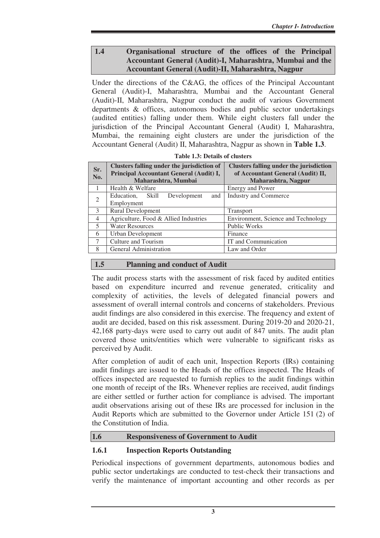## **1.4 Organisational structure of the offices of the Principal Accountant General (Audit)-I, Maharashtra, Mumbai and the Accountant General (Audit)-II, Maharashtra, Nagpur**

Under the directions of the C&AG, the offices of the Principal Accountant General (Audit)-I, Maharashtra, Mumbai and the Accountant General (Audit)-II, Maharashtra, Nagpur conduct the audit of various Government departments & offices, autonomous bodies and public sector undertakings (audited entities) falling under them. While eight clusters fall under the jurisdiction of the Principal Accountant General (Audit) I, Maharashtra, Mumbai, the remaining eight clusters are under the jurisdiction of the Accountant General (Audit) II, Maharashtra, Nagpur as shown in **Table 1.3**.

| Sr.<br>No.     | Clusters falling under the jurisdiction of<br>Principal Accountant General (Audit) I,<br>Maharashtra, Mumbai | <b>Clusters falling under the jurisdiction</b><br>of Accountant General (Audit) II,<br>Maharashtra, Nagpur |  |
|----------------|--------------------------------------------------------------------------------------------------------------|------------------------------------------------------------------------------------------------------------|--|
| $\overline{1}$ | Health & Welfare                                                                                             | <b>Energy and Power</b>                                                                                    |  |
| $\overline{2}$ | Development<br>Education, Skill<br>and                                                                       | <b>Industry and Commerce</b>                                                                               |  |
|                | Employment                                                                                                   |                                                                                                            |  |
| 3              | <b>Rural Development</b>                                                                                     | <b>Transport</b>                                                                                           |  |
| $\overline{4}$ | Agriculture, Food & Allied Industries                                                                        | Environment, Science and Technology                                                                        |  |
| 5              | <b>Water Resources</b>                                                                                       | <b>Public Works</b>                                                                                        |  |
| 6              | Urban Development                                                                                            | Finance                                                                                                    |  |
| $\tau$         | Culture and Tourism                                                                                          | IT and Communication                                                                                       |  |
| 8              | General Administration                                                                                       | Law and Order                                                                                              |  |

**Table 1.3: Details of clusters** 

# **1.5 Planning and conduct of Audit**

The audit process starts with the assessment of risk faced by audited entities based on expenditure incurred and revenue generated, criticality and complexity of activities, the levels of delegated financial powers and assessment of overall internal controls and concerns of stakeholders. Previous audit findings are also considered in this exercise. The frequency and extent of audit are decided, based on this risk assessment. During 2019-20 and 2020-21, 42,168 party-days were used to carry out audit of 847 units. The audit plan covered those units/entities which were vulnerable to significant risks as perceived by Audit.

After completion of audit of each unit, Inspection Reports (IRs) containing audit findings are issued to the Heads of the offices inspected. The Heads of offices inspected are requested to furnish replies to the audit findings within one month of receipt of the IRs. Whenever replies are received, audit findings are either settled or further action for compliance is advised. The important audit observations arising out of these IRs are processed for inclusion in the Audit Reports which are submitted to the Governor under Article 151 (2) of the Constitution of India.

# **1.6 Responsiveness of Government to Audit**

# **1.6.1 Inspection Reports Outstanding**

Periodical inspections of government departments, autonomous bodies and public sector undertakings are conducted to test-check their transactions and verify the maintenance of important accounting and other records as per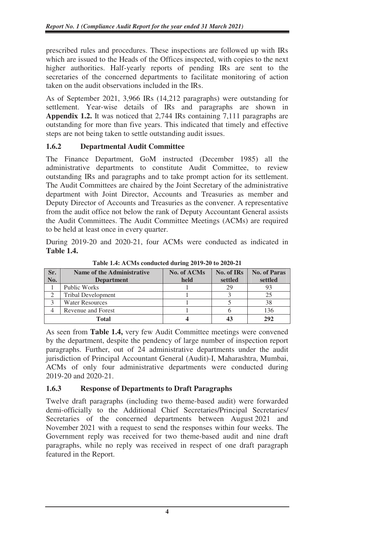prescribed rules and procedures. These inspections are followed up with IRs which are issued to the Heads of the Offices inspected, with copies to the next higher authorities. Half-yearly reports of pending IRs are sent to the secretaries of the concerned departments to facilitate monitoring of action taken on the audit observations included in the IRs.

As of September 2021, 3,966 IRs (14,212 paragraphs) were outstanding for settlement. Year-wise details of IRs and paragraphs are shown in **Appendix 1.2.** It was noticed that 2,744 IRs containing 7,111 paragraphs are outstanding for more than five years. This indicated that timely and effective steps are not being taken to settle outstanding audit issues.

# **1.6.2 Departmental Audit Committee**

The Finance Department, GoM instructed (December 1985) all the administrative departments to constitute Audit Committee, to review outstanding IRs and paragraphs and to take prompt action for its settlement. The Audit Committees are chaired by the Joint Secretary of the administrative department with Joint Director, Accounts and Treasuries as member and Deputy Director of Accounts and Treasuries as the convener. A representative from the audit office not below the rank of Deputy Accountant General assists the Audit Committees. The Audit Committee Meetings (ACMs) are required to be held at least once in every quarter.

During 2019-20 and 2020-21, four ACMs were conducted as indicated in **Table 1.4.**

| Sr.<br>No. | <b>Name of the Administrative</b><br><b>Department</b> | No. of ACMs<br>held | No. of IRs<br>settled | <b>No. of Paras</b><br>settled |
|------------|--------------------------------------------------------|---------------------|-----------------------|--------------------------------|
|            | <b>Public Works</b>                                    |                     | 29                    | 93                             |
|            | <b>Tribal Development</b>                              |                     |                       | 25                             |
|            | <b>Water Resources</b>                                 |                     |                       | 38                             |
|            | Revenue and Forest                                     |                     |                       | 136                            |
| Total      |                                                        |                     |                       | 292                            |

**Table 1.4: ACMs conducted during 2019-20 to 2020-21**

As seen from **Table 1.4,** very few Audit Committee meetings were convened by the department, despite the pendency of large number of inspection report paragraphs. Further, out of 24 administrative departments under the audit jurisdiction of Principal Accountant General (Audit)-I, Maharashtra, Mumbai, ACMs of only four administrative departments were conducted during 2019-20 and 2020-21.

# **1.6.3 Response of Departments to Draft Paragraphs**

Twelve draft paragraphs (including two theme-based audit) were forwarded demi-officially to the Additional Chief Secretaries/Principal Secretaries/ Secretaries of the concerned departments between August 2021 and November 2021 with a request to send the responses within four weeks. The Government reply was received for two theme-based audit and nine draft paragraphs, while no reply was received in respect of one draft paragraph featured in the Report.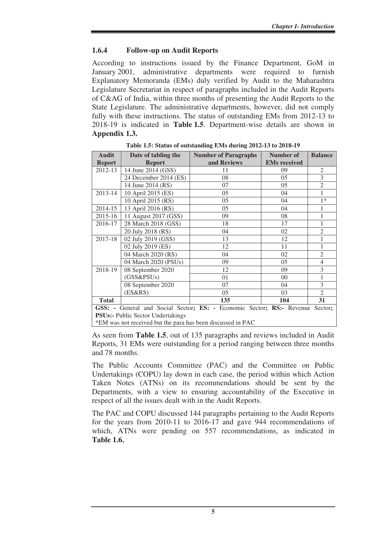## **1.6.4 Follow-up on Audit Reports**

According to instructions issued by the Finance Department, GoM in January 2001, administrative departments were required to furnish Explanatory Memoranda (EMs) duly verified by Audit to the Maharashtra Legislature Secretariat in respect of paragraphs included in the Audit Reports of C&AG of India, within three months of presenting the Audit Reports to the State Legislature. The administrative departments, however, did not comply fully with these instructions. The status of outstanding EMs from 2012-13 to 2018-19 is indicated in **Table 1.5**. Department-wise details are shown in **Appendix 1.3.** 

| <b>Audit</b>                                                                   | Date of tabling the   | <b>Number of Paragraphs</b> | Number of           | <b>Balance</b> |  |  |  |  |
|--------------------------------------------------------------------------------|-----------------------|-----------------------------|---------------------|----------------|--|--|--|--|
| <b>Report</b>                                                                  | <b>Report</b>         | and Reviews                 | <b>EMs</b> received |                |  |  |  |  |
| 2012-13                                                                        | 14 June 2014 (GSS)    | 11                          | 09                  | $\overline{2}$ |  |  |  |  |
|                                                                                | 24 December 2014 (ES) | 08                          | 05                  | 3              |  |  |  |  |
|                                                                                | 14 June 2014 (RS)     | 07                          | 05                  | $\overline{2}$ |  |  |  |  |
| 2013-14                                                                        | 10 April 2015 (ES)    | 05                          | 04                  | 1              |  |  |  |  |
|                                                                                | 10 April 2015 (RS)    | 05                          | 04                  | $1*$           |  |  |  |  |
| 2014-15                                                                        | 13 April 2016 (RS)    | 05                          | 04                  | 1              |  |  |  |  |
| 2015-16                                                                        | 11 August 2017 (GSS)  | 09                          | 08                  | 1              |  |  |  |  |
| 2016-17                                                                        | 28 March 2018 (GSS)   | 18                          | 17                  | 1              |  |  |  |  |
|                                                                                | 20 July 2018 (RS)     | 04                          | 02                  | $\overline{2}$ |  |  |  |  |
| 2017-18                                                                        | 02 July 2019 (GSS)    | 13                          | 12                  | 1              |  |  |  |  |
|                                                                                | 02 July 2019 (ES)     | 12                          | 11                  | 1              |  |  |  |  |
|                                                                                | 04 March 2020 (RS)    | 04                          | 02                  | $\overline{2}$ |  |  |  |  |
|                                                                                | 04 March 2020 (PSUs)  | 09                          | 05                  | $\overline{4}$ |  |  |  |  |
| 2018-19                                                                        | 08 September 2020     | 12                          | 09                  | 3              |  |  |  |  |
|                                                                                | (GSS&PSUs)            | 01                          | $00\,$              | 1              |  |  |  |  |
|                                                                                | 08 September 2020     | 07                          | 04                  | 3              |  |  |  |  |
|                                                                                | (ES&RS)               | 05                          | 03                  | $\overline{2}$ |  |  |  |  |
| <b>Total</b>                                                                   |                       | 135                         | 104                 | 31             |  |  |  |  |
| GSS: - General and Social Sector; ES: - Economic Sector; RS: - Revenue Sector; |                       |                             |                     |                |  |  |  |  |

**Table 1.5: Status of outstanding EMs during 2012-13 to 2018-19** 

**PSUs:- Public Sector Undertakings** 

\*EM was not received but the para has been discussed in PAC

As seen from **Table 1.5**, out of 135 paragraphs and reviews included in Audit Reports, 31 EMs were outstanding for a period ranging between three months and 78 months.

The Public Accounts Committee (PAC) and the Committee on Public Undertakings (COPU) lay down in each case, the period within which Action Taken Notes (ATNs) on its recommendations should be sent by the Departments, with a view to ensuring accountability of the Executive in respect of all the issues dealt with in the Audit Reports.

The PAC and COPU discussed 144 paragraphs pertaining to the Audit Reports for the years from 2010-11 to 2016-17 and gave 944 recommendations of which, ATNs were pending on 557 recommendations, as indicated in **Table 1.6.**